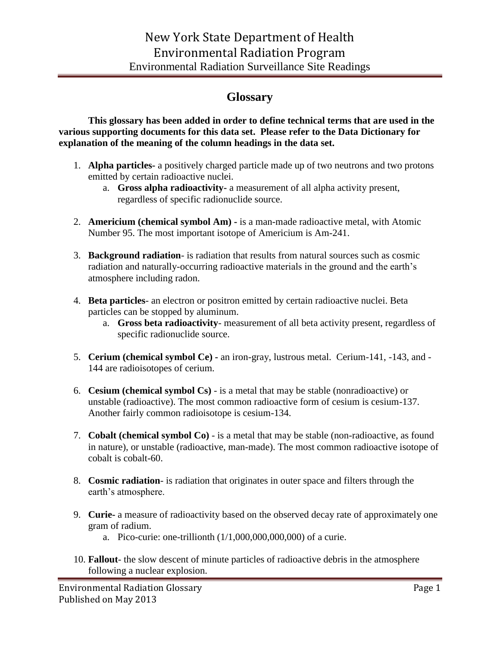## **Glossary**

**This glossary has been added in order to define technical terms that are used in the various supporting documents for this data set. Please refer to the Data Dictionary for explanation of the meaning of the column headings in the data set.**

- 1. **Alpha particles-** a positively charged particle made up of two neutrons and two protons emitted by certain radioactive nuclei.
	- a. **Gross alpha radioactivity-** a measurement of all alpha activity present, regardless of specific radionuclide source.
- 2. **Americium (chemical symbol Am) -** is a man-made radioactive metal, with Atomic Number 95. The most important isotope of Americium is Am-241.
- 3. **Background radiation** is radiation that results from natural sources such as cosmic radiation and naturally-occurring radioactive materials in the ground and the earth's atmosphere including radon.
- 4. **Beta particles** an electron or positron emitted by certain radioactive nuclei. Beta particles can be stopped by aluminum.
	- a. **Gross beta radioactivity** measurement of all beta activity present, regardless of specific radionuclide source.
- 5. **Cerium (chemical symbol Ce) -** an iron-gray, lustrous metal. Cerium-141, -143, and 144 are radioisotopes of cerium.
- 6. **Cesium (chemical symbol Cs)** is a metal that may be stable (nonradioactive) or unstable (radioactive). The most common radioactive form of cesium is cesium-137. Another fairly common radioisotope is cesium-134.
- 7. **Cobalt (chemical symbol Co)** is a metal that may be stable (non-radioactive, as found in nature), or unstable (radioactive, man-made). The most common radioactive isotope of cobalt is cobalt-60.
- 8. **Cosmic radiation** is radiation that originates in outer space and filters through the earth's atmosphere.
- 9. **Curie-** a measure of radioactivity based on the observed decay rate of approximately one gram of radium.
	- a. Pico-curie: one-trillionth (1/1,000,000,000,000) of a curie.
- 10. **Fallout** the slow descent of minute particles of radioactive debris in the atmosphere following a nuclear explosion.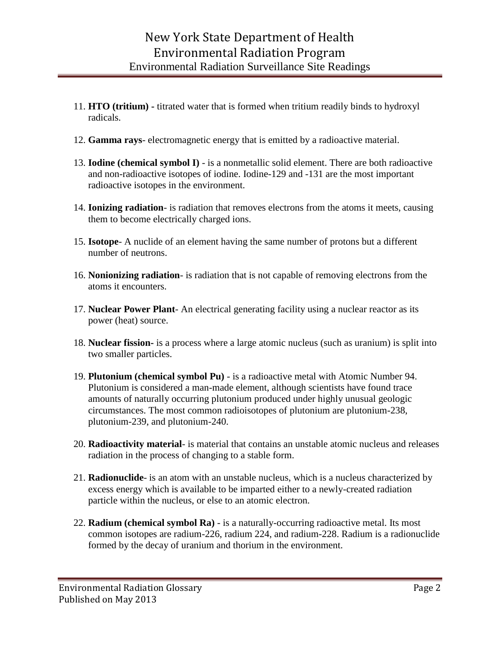- 11. **HTO (tritium) -** titrated water that is formed when tritium readily binds to hydroxyl radicals.
- 12. **Gamma rays** electromagnetic energy that is emitted by a radioactive material.
- 13. **Iodine (chemical symbol I)** is a nonmetallic solid element. There are both radioactive and non-radioactive isotopes of iodine. Iodine-129 and -131 are the most important radioactive isotopes in the environment.
- 14. **Ionizing radiation** is radiation that removes electrons from the atoms it meets, causing them to become electrically charged ions.
- 15. **Isotope** A [nuclide](http://www.epa.gov/radiation/glossary/termnop.html#nuclide) of an element having the same number of [protons](http://www.epa.gov/radiation/glossary/termnop.html#proton) but a different number of [neutrons.](http://www.epa.gov/radiation/glossary/termnop.html#neutron)
- 16. **Nonionizing radiation** is radiation that is not capable of removing electrons from the atoms it encounters.
- 17. **Nuclear Power Plant** An electrical generating facility using a nuclear reactor as its power (heat) source.
- 18. **Nuclear fission-** is a process where a large atomic nucleus (such as uranium) is split into two smaller particles.
- 19. **Plutonium (chemical symbol Pu)** is a radioactive metal with Atomic Number 94. Plutonium is considered a man-made element, although scientists have found trace amounts of naturally occurring plutonium produced under highly unusual geologic circumstances. The most common radioisotopes of plutonium are plutonium-238, plutonium-239, and plutonium-240.
- 20. **Radioactivity material** is material that contains an unstable atomic nucleus and releases radiation in the process of changing to a stable form.
- 21. **Radionuclide** is an [atom](http://www.wikipedia.org/wiki/Atom) with an unstable [nucleus,](http://www.wikipedia.org/wiki/Atomic_nucleus) which is a nucleus characterized by excess energy which is available to be imparted either to a newly-created radiation particle within the nucleus, or else to an atomic electron.
- 22. **Radium (chemical symbol Ra)** is a naturally-occurring radioactive metal. Its most common isotopes are radium-226, radium 224, and radium-228. Radium is a radionuclide formed by the decay of uranium and thorium in the environment.